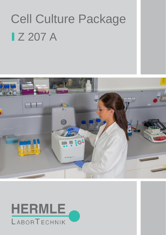# Cell Culture Package **IZ 207 A**